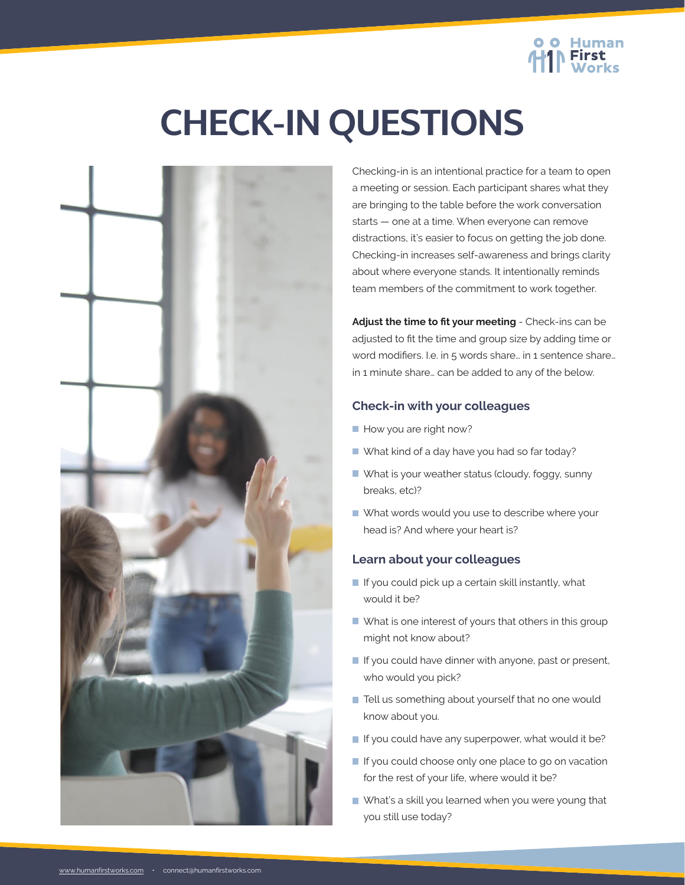

# **CHECK-IN QUESTIONS**



Checking-in is an intentional practice for a team to open a meeting or session. Each participant shares what they are bringing to the table before the work conversation starts — one at a time. When everyone can remove distractions, it's easier to focus on getting the job done. Checking-in increases self-awareness and brings clarity about where everyone stands. It intentionally reminds team members of the commitment to work together.

**Adjust the time to fit your meeting** - Check-ins can be adjusted to fit the time and group size by adding time or word modifiers. I.e. in 5 words share… in 1 sentence share… in 1 minute share… can be added to any of the below.

# **Check-in with your colleagues**

- How you are right now?
- What kind of a day have you had so far today?
- What is your weather status (cloudy, foggy, sunny breaks, etc)?
- What words would you use to describe where your head is? And where your heart is?

# **Learn about your colleagues**

- $\blacksquare$  If you could pick up a certain skill instantly, what would it be?
- What is one interest of yours that others in this group might not know about?
- $\blacksquare$  If you could have dinner with anyone, past or present, who would you pick?
- Tell us something about yourself that no one would know about you.
- If you could have any superpower, what would it be?
- If you could choose only one place to go on vacation for the rest of your life, where would it be?
- What's a skill you learned when you were young that you still use today?